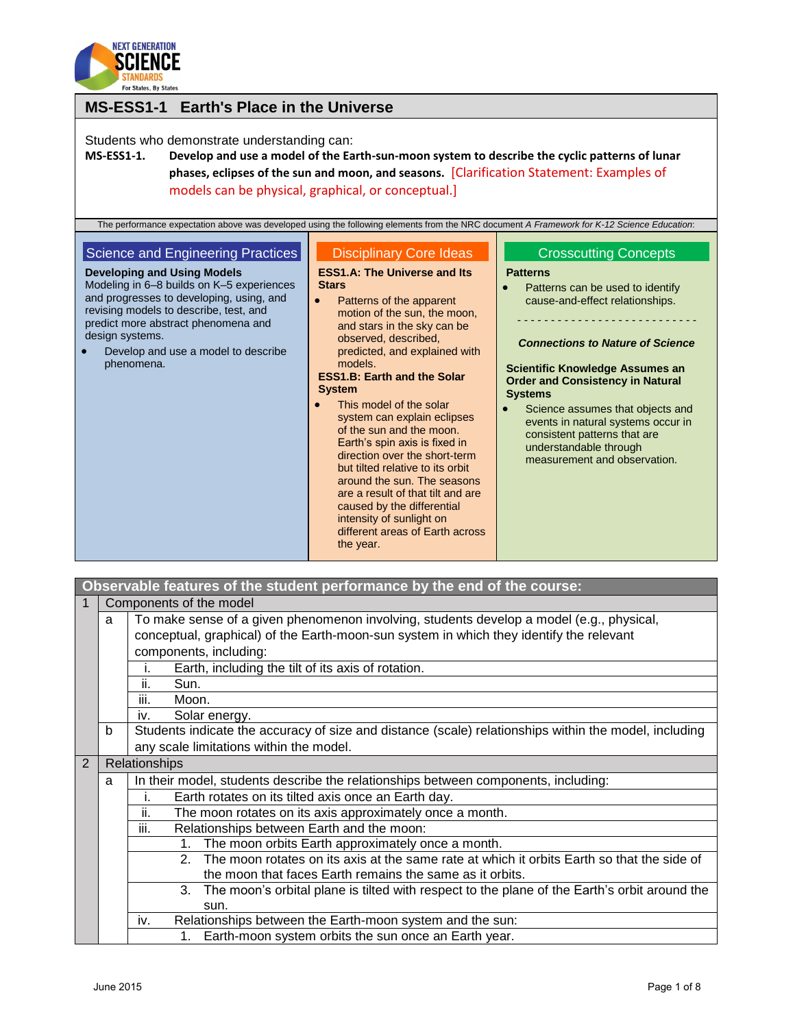

| <b>MS-ESS1-1 Earth's Place in the Universe</b>                                                                                                                                                                                                                                                                                                                                                                                                                    |                                                                                                                                                                                                                                                                                  |                                                                                                                                                                                                                          |  |
|-------------------------------------------------------------------------------------------------------------------------------------------------------------------------------------------------------------------------------------------------------------------------------------------------------------------------------------------------------------------------------------------------------------------------------------------------------------------|----------------------------------------------------------------------------------------------------------------------------------------------------------------------------------------------------------------------------------------------------------------------------------|--------------------------------------------------------------------------------------------------------------------------------------------------------------------------------------------------------------------------|--|
| Students who demonstrate understanding can:<br><b>MS-ESS1-1.</b><br>Develop and use a model of the Earth-sun-moon system to describe the cyclic patterns of lunar<br>phases, eclipses of the sun and moon, and seasons. [Clarification Statement: Examples of<br>models can be physical, graphical, or conceptual.]<br>The performance expectation above was developed using the following elements from the NRC document A Framework for K-12 Science Education: |                                                                                                                                                                                                                                                                                  |                                                                                                                                                                                                                          |  |
| Science and Engineering Practices<br><b>Developing and Using Models</b><br>Modeling in 6-8 builds on K-5 experiences<br>and progresses to developing, using, and<br>revising models to describe, test, and<br>predict more abstract phenomena and<br>design systems.                                                                                                                                                                                              | <b>Disciplinary Core Ideas</b><br><b>ESS1.A: The Universe and Its</b><br><b>Stars</b><br>Patterns of the apparent<br>$\bullet$<br>motion of the sun, the moon,<br>and stars in the sky can be                                                                                    | <b>Crosscutting Concepts</b><br><b>Patterns</b><br>Patterns can be used to identify<br>cause-and-effect relationships.                                                                                                   |  |
| Develop and use a model to describe<br>phenomena.                                                                                                                                                                                                                                                                                                                                                                                                                 | observed, described,<br>predicted, and explained with<br>models.<br><b>ESS1.B: Earth and the Solar</b><br><b>System</b><br>This model of the solar<br>system can explain eclipses<br>of the sun and the moon.                                                                    | <b>Connections to Nature of Science</b><br><b>Scientific Knowledge Assumes an</b><br><b>Order and Consistency in Natural</b><br><b>Systems</b><br>Science assumes that objects and<br>events in natural systems occur in |  |
|                                                                                                                                                                                                                                                                                                                                                                                                                                                                   | Earth's spin axis is fixed in<br>direction over the short-term<br>but tilted relative to its orbit<br>around the sun. The seasons<br>are a result of that tilt and are<br>caused by the differential<br>intensity of sunlight on<br>different areas of Earth across<br>the year. | consistent patterns that are<br>understandable through<br>measurement and observation.                                                                                                                                   |  |

|                |                                                                                         | Observable features of the student performance by the end of the course:                                    |  |  |
|----------------|-----------------------------------------------------------------------------------------|-------------------------------------------------------------------------------------------------------------|--|--|
|                |                                                                                         | Components of the model                                                                                     |  |  |
|                | a                                                                                       | To make sense of a given phenomenon involving, students develop a model (e.g., physical,                    |  |  |
|                | conceptual, graphical) of the Earth-moon-sun system in which they identify the relevant |                                                                                                             |  |  |
|                |                                                                                         | components, including:                                                                                      |  |  |
|                |                                                                                         | Earth, including the tilt of its axis of rotation.<br>Τ.                                                    |  |  |
|                |                                                                                         | ii.<br>Sun.                                                                                                 |  |  |
|                |                                                                                         | Moon.<br>Ш.                                                                                                 |  |  |
|                |                                                                                         | Solar energy.<br>İV.                                                                                        |  |  |
|                | b                                                                                       | Students indicate the accuracy of size and distance (scale) relationships within the model, including       |  |  |
|                |                                                                                         | any scale limitations within the model.                                                                     |  |  |
| $\overline{2}$ |                                                                                         | Relationships                                                                                               |  |  |
|                | a                                                                                       | In their model, students describe the relationships between components, including:                          |  |  |
|                |                                                                                         | Earth rotates on its tilted axis once an Earth day.<br>i.                                                   |  |  |
|                |                                                                                         | ii.<br>The moon rotates on its axis approximately once a month.                                             |  |  |
|                |                                                                                         | iii.<br>Relationships between Earth and the moon:                                                           |  |  |
|                |                                                                                         | The moon orbits Earth approximately once a month.<br>1.                                                     |  |  |
|                |                                                                                         | The moon rotates on its axis at the same rate at which it orbits Earth so that the side of<br>$\mathcal{P}$ |  |  |
|                |                                                                                         | the moon that faces Earth remains the same as it orbits.                                                    |  |  |
|                |                                                                                         | The moon's orbital plane is tilted with respect to the plane of the Earth's orbit around the<br>3.          |  |  |
|                |                                                                                         | sun.                                                                                                        |  |  |
|                |                                                                                         | Relationships between the Earth-moon system and the sun:<br>iv.                                             |  |  |
|                |                                                                                         | Earth-moon system orbits the sun once an Earth year.<br>1.                                                  |  |  |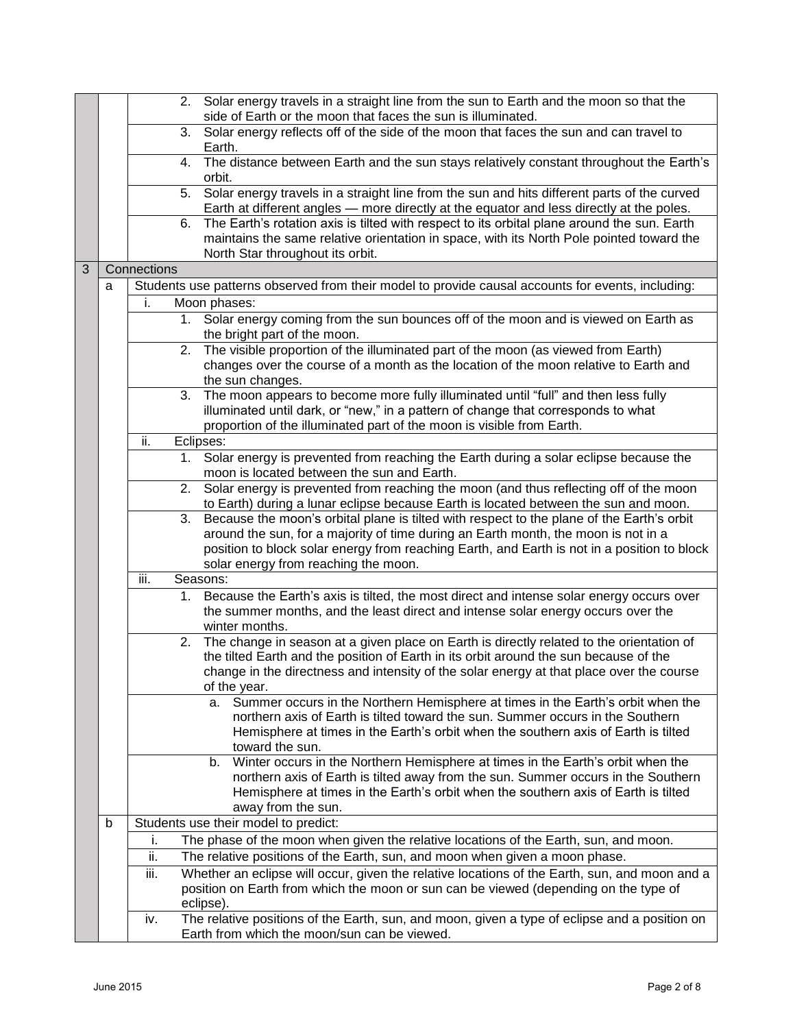|   |   |             | 2. Solar energy travels in a straight line from the sun to Earth and the moon so that the<br>side of Earth or the moon that faces the sun is illuminated.               |
|---|---|-------------|-------------------------------------------------------------------------------------------------------------------------------------------------------------------------|
|   |   | 3.          | Solar energy reflects off of the side of the moon that faces the sun and can travel to                                                                                  |
|   |   |             | Earth.                                                                                                                                                                  |
|   |   | 4.          | The distance between Earth and the sun stays relatively constant throughout the Earth's                                                                                 |
|   |   |             | orbit.                                                                                                                                                                  |
|   |   | 5.          | Solar energy travels in a straight line from the sun and hits different parts of the curved                                                                             |
|   |   |             | Earth at different angles - more directly at the equator and less directly at the poles.                                                                                |
|   |   | 6.          | The Earth's rotation axis is tilted with respect to its orbital plane around the sun. Earth                                                                             |
|   |   |             | maintains the same relative orientation in space, with its North Pole pointed toward the                                                                                |
| 3 |   | Connections | North Star throughout its orbit.                                                                                                                                        |
|   |   |             |                                                                                                                                                                         |
|   | a |             | Students use patterns observed from their model to provide causal accounts for events, including:                                                                       |
|   |   | i.          | Moon phases:                                                                                                                                                            |
|   |   | 1.          | Solar energy coming from the sun bounces off of the moon and is viewed on Earth as                                                                                      |
|   |   |             | the bright part of the moon.                                                                                                                                            |
|   |   | 2.          | The visible proportion of the illuminated part of the moon (as viewed from Earth)                                                                                       |
|   |   |             | changes over the course of a month as the location of the moon relative to Earth and<br>the sun changes.                                                                |
|   |   | 3.          | The moon appears to become more fully illuminated until "full" and then less fully                                                                                      |
|   |   |             | illuminated until dark, or "new," in a pattern of change that corresponds to what                                                                                       |
|   |   |             | proportion of the illuminated part of the moon is visible from Earth.                                                                                                   |
|   |   | ii.         | Eclipses:                                                                                                                                                               |
|   |   | 1.          | Solar energy is prevented from reaching the Earth during a solar eclipse because the                                                                                    |
|   |   |             | moon is located between the sun and Earth.                                                                                                                              |
|   |   | 2.          | Solar energy is prevented from reaching the moon (and thus reflecting off of the moon                                                                                   |
|   |   |             | to Earth) during a lunar eclipse because Earth is located between the sun and moon.                                                                                     |
|   |   | 3.          | Because the moon's orbital plane is tilted with respect to the plane of the Earth's orbit                                                                               |
|   |   |             | around the sun, for a majority of time during an Earth month, the moon is not in a                                                                                      |
|   |   |             | position to block solar energy from reaching Earth, and Earth is not in a position to block                                                                             |
|   |   |             | solar energy from reaching the moon.                                                                                                                                    |
|   |   | iii.        | Seasons:                                                                                                                                                                |
|   |   |             | 1. Because the Earth's axis is tilted, the most direct and intense solar energy occurs over                                                                             |
|   |   |             | the summer months, and the least direct and intense solar energy occurs over the                                                                                        |
|   |   |             | winter months.                                                                                                                                                          |
|   |   | 2.          | The change in season at a given place on Earth is directly related to the orientation of                                                                                |
|   |   |             | the tilted Earth and the position of Earth in its orbit around the sun because of the                                                                                   |
|   |   |             | change in the directness and intensity of the solar energy at that place over the course                                                                                |
|   |   |             | of the year.                                                                                                                                                            |
|   |   |             | Summer occurs in the Northern Hemisphere at times in the Earth's orbit when the<br>а.<br>northern axis of Earth is tilted toward the sun. Summer occurs in the Southern |
|   |   |             | Hemisphere at times in the Earth's orbit when the southern axis of Earth is tilted                                                                                      |
|   |   |             | toward the sun.                                                                                                                                                         |
|   |   |             | Winter occurs in the Northern Hemisphere at times in the Earth's orbit when the<br>b.                                                                                   |
|   |   |             | northern axis of Earth is tilted away from the sun. Summer occurs in the Southern                                                                                       |
|   |   |             | Hemisphere at times in the Earth's orbit when the southern axis of Earth is tilted                                                                                      |
|   |   |             | away from the sun.                                                                                                                                                      |
|   | b |             | Students use their model to predict:                                                                                                                                    |
|   |   | i.          | The phase of the moon when given the relative locations of the Earth, sun, and moon.                                                                                    |
|   |   | ii.         | The relative positions of the Earth, sun, and moon when given a moon phase.                                                                                             |
|   |   | iii.        | Whether an eclipse will occur, given the relative locations of the Earth, sun, and moon and a                                                                           |
|   |   |             | position on Earth from which the moon or sun can be viewed (depending on the type of                                                                                    |
|   |   |             | eclipse).                                                                                                                                                               |
|   |   | iv.         | The relative positions of the Earth, sun, and moon, given a type of eclipse and a position on                                                                           |
|   |   |             | Earth from which the moon/sun can be viewed.                                                                                                                            |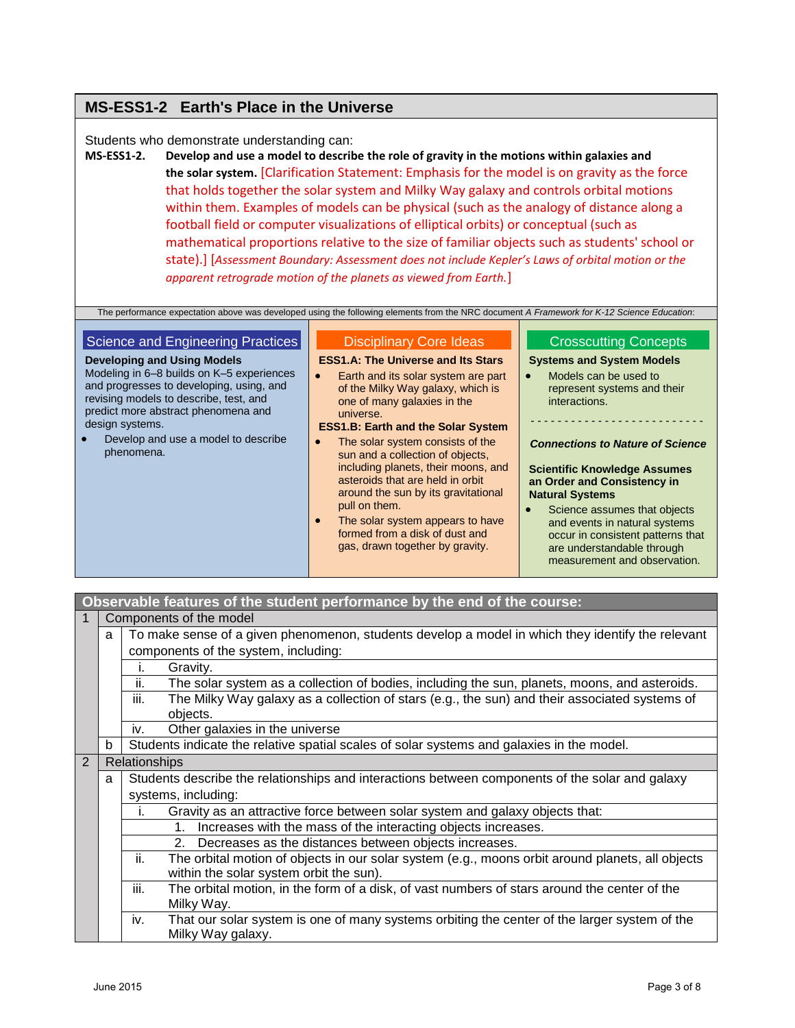# **MS-ESS1-2 Earth's Place in the Universe**

# Students who demonstrate understanding can:

**MS-ESS1-2. Develop and use a model to describe the role of gravity in the motions within galaxies and the solar system.** [Clarification Statement: Emphasis for the model is on gravity as the force that holds together the solar system and Milky Way galaxy and controls orbital motions within them. Examples of models can be physical (such as the analogy of distance along a football field or computer visualizations of elliptical orbits) or conceptual (such as mathematical proportions relative to the size of familiar objects such as students' school or state).] [*Assessment Boundary: Assessment does not include Kepler's Laws of orbital motion or the apparent retrograde motion of the planets as viewed from Earth.*]

|  | The performance expectation above was developed using the following elements from the NRC document A Framework for K-12 Science Education: |
|--|--------------------------------------------------------------------------------------------------------------------------------------------|
|  |                                                                                                                                            |

| Science and Engineering Practices                                                                                                                                                                                                                                                    | <b>Disciplinary Core Ideas</b>                                                                                                                                                                                                                                                                                                                                                                                                                                                                                                                  | <b>Crosscutting Concepts</b>                                                                                                                                                                                                                                                                                                                                                                                             |
|--------------------------------------------------------------------------------------------------------------------------------------------------------------------------------------------------------------------------------------------------------------------------------------|-------------------------------------------------------------------------------------------------------------------------------------------------------------------------------------------------------------------------------------------------------------------------------------------------------------------------------------------------------------------------------------------------------------------------------------------------------------------------------------------------------------------------------------------------|--------------------------------------------------------------------------------------------------------------------------------------------------------------------------------------------------------------------------------------------------------------------------------------------------------------------------------------------------------------------------------------------------------------------------|
| <b>Developing and Using Models</b><br>Modeling in 6-8 builds on K-5 experiences<br>and progresses to developing, using, and<br>revising models to describe, test, and<br>predict more abstract phenomena and<br>design systems.<br>Develop and use a model to describe<br>phenomena. | <b>ESS1.A: The Universe and Its Stars</b><br>Earth and its solar system are part<br>of the Milky Way galaxy, which is<br>one of many galaxies in the<br>universe.<br><b>ESS1.B: Earth and the Solar System</b><br>The solar system consists of the<br>sun and a collection of objects,<br>including planets, their moons, and<br>asteroids that are held in orbit<br>around the sun by its gravitational<br>pull on them.<br>The solar system appears to have<br>$\bullet$<br>formed from a disk of dust and<br>gas, drawn together by gravity. | <b>Systems and System Models</b><br>Models can be used to<br>represent systems and their<br>interactions.<br><b>Connections to Nature of Science</b><br><b>Scientific Knowledge Assumes</b><br>an Order and Consistency in<br><b>Natural Systems</b><br>Science assumes that objects<br>and events in natural systems<br>occur in consistent patterns that<br>are understandable through<br>measurement and observation. |
|                                                                                                                                                                                                                                                                                      |                                                                                                                                                                                                                                                                                                                                                                                                                                                                                                                                                 |                                                                                                                                                                                                                                                                                                                                                                                                                          |

# **Observable features of the student performance by the end of the course:**

| $\mathbf 1$                          | Components of the model                                     |                                                                              |                                                                                                   |  |
|--------------------------------------|-------------------------------------------------------------|------------------------------------------------------------------------------|---------------------------------------------------------------------------------------------------|--|
|                                      | a                                                           |                                                                              | To make sense of a given phenomenon, students develop a model in which they identify the relevant |  |
| components of the system, including: |                                                             |                                                                              |                                                                                                   |  |
|                                      |                                                             | Gravity.<br>I.                                                               |                                                                                                   |  |
|                                      |                                                             | ii.                                                                          | The solar system as a collection of bodies, including the sun, planets, moons, and asteroids.     |  |
|                                      |                                                             | Ш.                                                                           | The Milky Way galaxy as a collection of stars (e.g., the sun) and their associated systems of     |  |
|                                      |                                                             | objects.                                                                     |                                                                                                   |  |
|                                      |                                                             | Other galaxies in the universe<br>İV.                                        |                                                                                                   |  |
|                                      | b                                                           |                                                                              | Students indicate the relative spatial scales of solar systems and galaxies in the model.         |  |
| 2                                    |                                                             | <b>Relationships</b>                                                         |                                                                                                   |  |
|                                      | a                                                           |                                                                              | Students describe the relationships and interactions between components of the solar and galaxy   |  |
|                                      |                                                             | systems, including:                                                          |                                                                                                   |  |
|                                      |                                                             | Gravity as an attractive force between solar system and galaxy objects that: |                                                                                                   |  |
|                                      |                                                             | Increases with the mass of the interacting objects increases.<br>$1_{-}$     |                                                                                                   |  |
|                                      | Decreases as the distances between objects increases.<br>2. |                                                                              |                                                                                                   |  |
|                                      |                                                             | ii.                                                                          | The orbital motion of objects in our solar system (e.g., moons orbit around planets, all objects  |  |
|                                      |                                                             | within the solar system orbit the sun).                                      |                                                                                                   |  |
|                                      |                                                             | iii.                                                                         | The orbital motion, in the form of a disk, of vast numbers of stars around the center of the      |  |
|                                      |                                                             | Milky Way.                                                                   |                                                                                                   |  |
|                                      |                                                             | iv.                                                                          | That our solar system is one of many systems orbiting the center of the larger system of the      |  |
|                                      |                                                             | Milky Way galaxy.                                                            |                                                                                                   |  |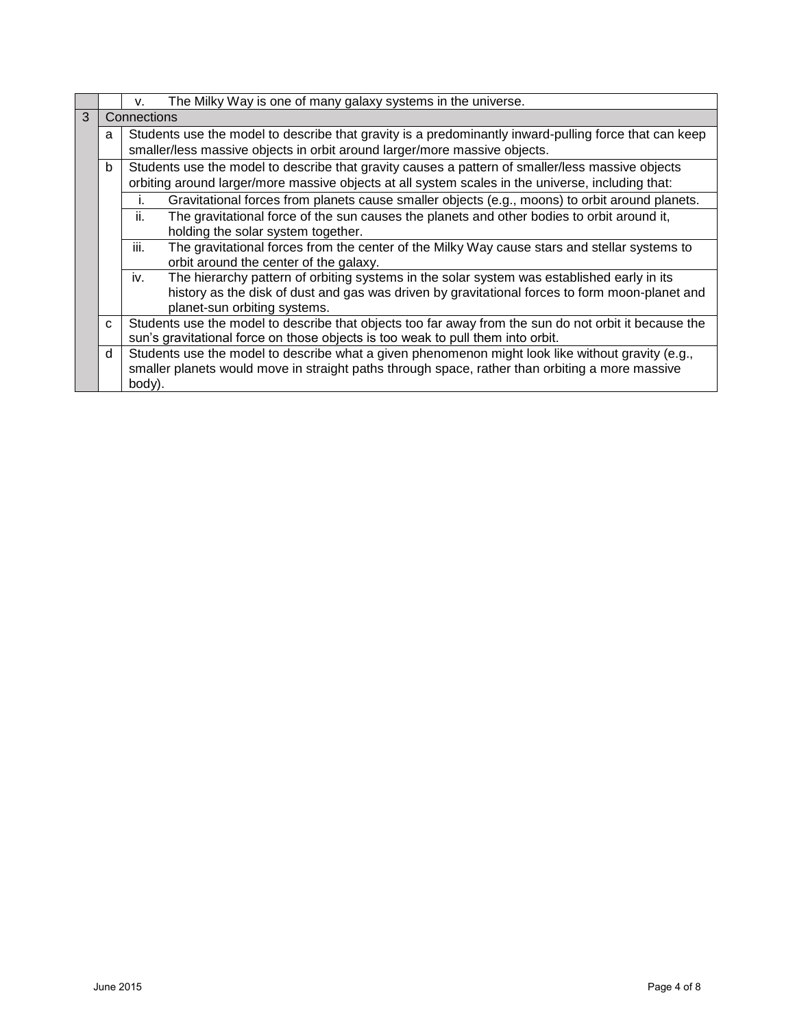|   |                                                                                                            | The Milky Way is one of many galaxy systems in the universe.<br>v.                                    |  |
|---|------------------------------------------------------------------------------------------------------------|-------------------------------------------------------------------------------------------------------|--|
| 3 | Connections                                                                                                |                                                                                                       |  |
|   | Students use the model to describe that gravity is a predominantly inward-pulling force that can keep<br>a |                                                                                                       |  |
|   |                                                                                                            | smaller/less massive objects in orbit around larger/more massive objects.                             |  |
|   | $\mathbf b$                                                                                                | Students use the model to describe that gravity causes a pattern of smaller/less massive objects      |  |
|   |                                                                                                            | orbiting around larger/more massive objects at all system scales in the universe, including that:     |  |
|   |                                                                                                            | Gravitational forces from planets cause smaller objects (e.g., moons) to orbit around planets.        |  |
|   |                                                                                                            | ii.<br>The gravitational force of the sun causes the planets and other bodies to orbit around it,     |  |
|   |                                                                                                            | holding the solar system together.                                                                    |  |
|   |                                                                                                            | iii.<br>The gravitational forces from the center of the Milky Way cause stars and stellar systems to  |  |
|   |                                                                                                            | orbit around the center of the galaxy.                                                                |  |
|   |                                                                                                            | The hierarchy pattern of orbiting systems in the solar system was established early in its<br>iv.     |  |
|   |                                                                                                            | history as the disk of dust and gas was driven by gravitational forces to form moon-planet and        |  |
|   |                                                                                                            | planet-sun orbiting systems.                                                                          |  |
|   | C                                                                                                          | Students use the model to describe that objects too far away from the sun do not orbit it because the |  |
|   |                                                                                                            | sun's gravitational force on those objects is too weak to pull them into orbit.                       |  |
|   | <sub>d</sub>                                                                                               | Students use the model to describe what a given phenomenon might look like without gravity (e.g.,     |  |
|   |                                                                                                            | smaller planets would move in straight paths through space, rather than orbiting a more massive       |  |
|   |                                                                                                            | body).                                                                                                |  |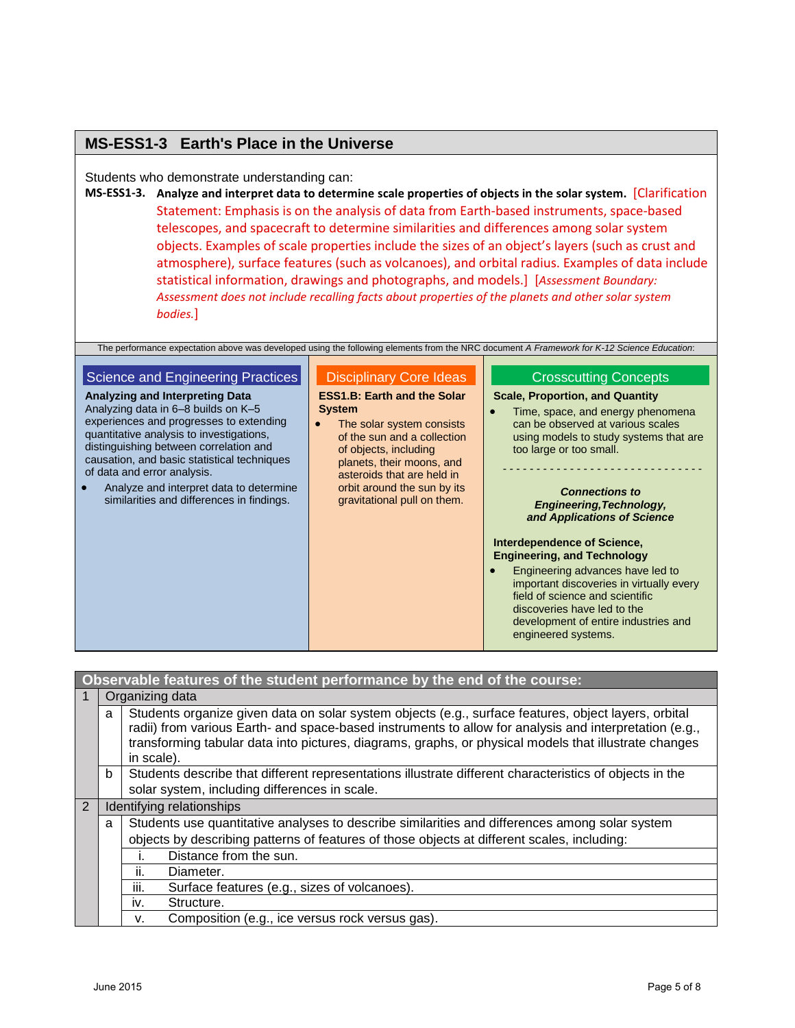# **MS-ESS1-3 Earth's Place in the Universe**

Students who demonstrate understanding can:

**MS-ESS1-3. Analyze and interpret data to determine scale properties of objects in the solar system.** [Clarification Statement: Emphasis is on the analysis of data from Earth-based instruments, space-based telescopes, and spacecraft to determine similarities and differences among solar system objects. Examples of scale properties include the sizes of an object's layers (such as crust and atmosphere), surface features (such as volcanoes), and orbital radius. Examples of data include statistical information, drawings and photographs, and models.] [*Assessment Boundary: Assessment does not include recalling facts about properties of the planets and other solar system bodies.*]

The performance expectation above was developed using the following elements from the NRC document *A Framework for K-12 Science Education*:

#### Science and Engineering Practices **Analyzing and Interpreting Data** Analyzing data in 6–8 builds on K–5 Disciplinary Core Ideas **ESS1.B: Earth and the Solar System**

experiences and progresses to extending quantitative analysis to investigations, distinguishing between correlation and causation, and basic statistical techniques of data and error analysis.

• Analyze and interpret data to determine similarities and differences in findings.

• The solar system consists of the sun and a collection of objects, including planets, their moons, and asteroids that are held in orbit around the sun by its gravitational pull on them.

## Crosscutting Concepts

## **Scale, Proportion, and Quantity**

• Time, space, and energy phenomena can be observed at various scales using models to study systems that are too large or too small.

- - - - - - - - - - - - - - - - - - - - - - - - - - - - - -

### *Connections to Engineering,Technology, and Applications of Science*

## **Interdependence of Science, Engineering, and Technology**

**Engineering advances have led to** important discoveries in virtually every field of science and scientific discoveries have led to the development of entire industries and engineered systems.

|                        | Observable features of the student performance by the end of the course: |                                                                                                                                                                                                                                                                                                                                       |  |  |
|------------------------|--------------------------------------------------------------------------|---------------------------------------------------------------------------------------------------------------------------------------------------------------------------------------------------------------------------------------------------------------------------------------------------------------------------------------|--|--|
|                        |                                                                          | Organizing data                                                                                                                                                                                                                                                                                                                       |  |  |
|                        | a                                                                        | Students organize given data on solar system objects (e.g., surface features, object layers, orbital<br>radii) from various Earth- and space-based instruments to allow for analysis and interpretation (e.g.,<br>transforming tabular data into pictures, diagrams, graphs, or physical models that illustrate changes<br>in scale). |  |  |
|                        | $\mathbf b$                                                              | Students describe that different representations illustrate different characteristics of objects in the                                                                                                                                                                                                                               |  |  |
|                        |                                                                          | solar system, including differences in scale.                                                                                                                                                                                                                                                                                         |  |  |
| $\overline{2}$         |                                                                          | Identifying relationships                                                                                                                                                                                                                                                                                                             |  |  |
|                        | a                                                                        | Students use quantitative analyses to describe similarities and differences among solar system                                                                                                                                                                                                                                        |  |  |
|                        |                                                                          | objects by describing patterns of features of those objects at different scales, including:                                                                                                                                                                                                                                           |  |  |
| Distance from the sun. |                                                                          |                                                                                                                                                                                                                                                                                                                                       |  |  |
|                        |                                                                          | ii.<br>Diameter.                                                                                                                                                                                                                                                                                                                      |  |  |
|                        |                                                                          | iii.<br>Surface features (e.g., sizes of volcanoes).                                                                                                                                                                                                                                                                                  |  |  |
|                        |                                                                          | Structure.<br>İV.                                                                                                                                                                                                                                                                                                                     |  |  |
|                        |                                                                          | Composition (e.g., ice versus rock versus gas).<br>v.                                                                                                                                                                                                                                                                                 |  |  |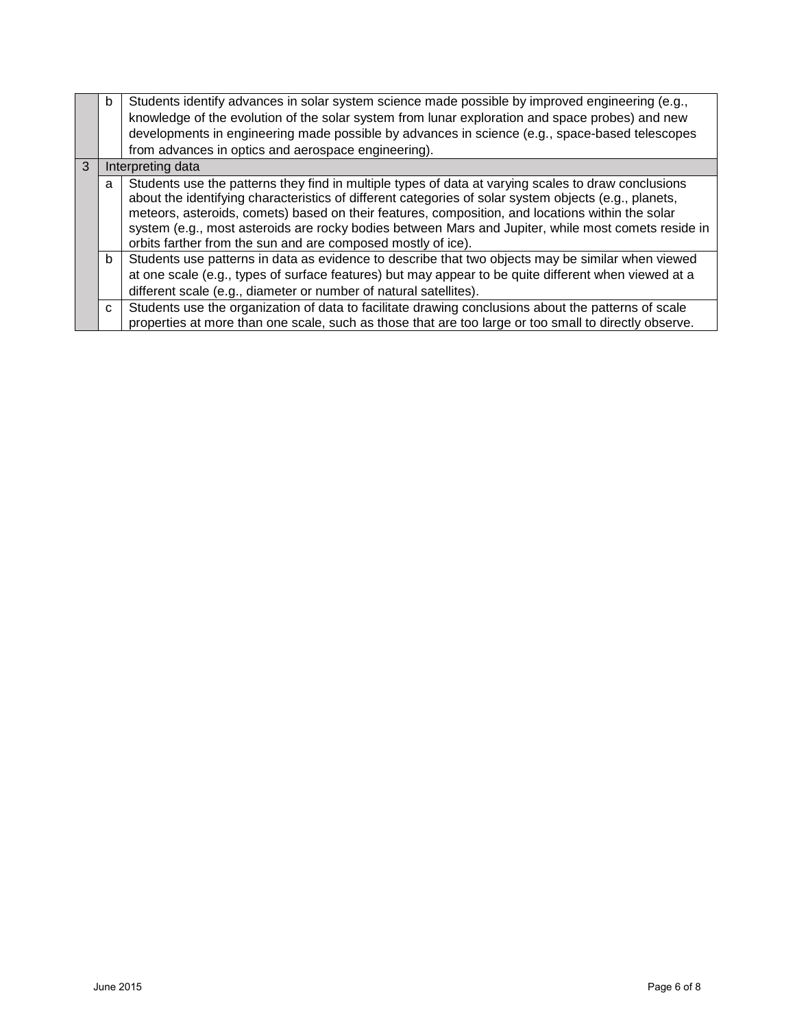|   | b            | Students identify advances in solar system science made possible by improved engineering (e.g.,<br>knowledge of the evolution of the solar system from lunar exploration and space probes) and new<br>developments in engineering made possible by advances in science (e.g., space-based telescopes<br>from advances in optics and aerospace engineering).                                                                                                                             |
|---|--------------|-----------------------------------------------------------------------------------------------------------------------------------------------------------------------------------------------------------------------------------------------------------------------------------------------------------------------------------------------------------------------------------------------------------------------------------------------------------------------------------------|
| 3 |              | Interpreting data                                                                                                                                                                                                                                                                                                                                                                                                                                                                       |
|   | a            | Students use the patterns they find in multiple types of data at varying scales to draw conclusions<br>about the identifying characteristics of different categories of solar system objects (e.g., planets,<br>meteors, asteroids, comets) based on their features, composition, and locations within the solar<br>system (e.g., most asteroids are rocky bodies between Mars and Jupiter, while most comets reside in<br>orbits farther from the sun and are composed mostly of ice). |
|   | b            | Students use patterns in data as evidence to describe that two objects may be similar when viewed<br>at one scale (e.g., types of surface features) but may appear to be quite different when viewed at a<br>different scale (e.g., diameter or number of natural satellites).                                                                                                                                                                                                          |
|   | $\mathbf{C}$ | Students use the organization of data to facilitate drawing conclusions about the patterns of scale<br>properties at more than one scale, such as those that are too large or too small to directly observe.                                                                                                                                                                                                                                                                            |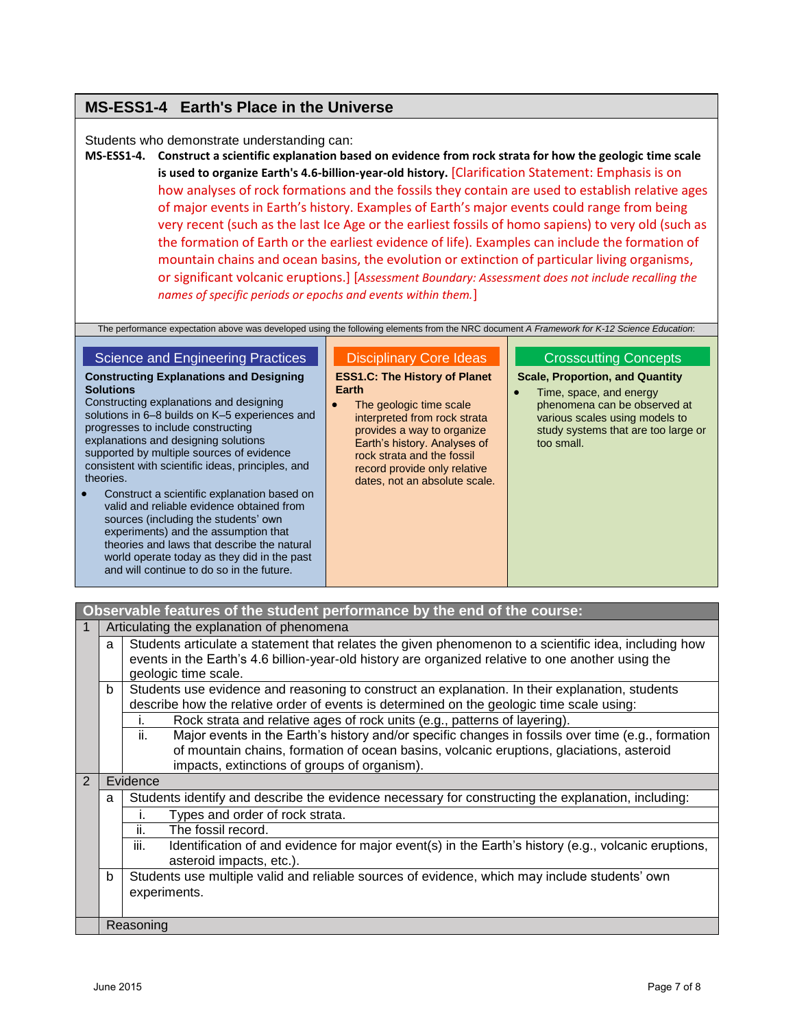# **MS-ESS1-4 Earth's Place in the Universe**

# Students who demonstrate understanding can:

**MS-ESS1-4. Construct a scientific explanation based on evidence from rock strata for how the geologic time scale is used to organize Earth's 4.6-billion-year-old history.** [Clarification Statement: Emphasis is on how analyses of rock formations and the fossils they contain are used to establish relative ages of major events in Earth's history. Examples of Earth's major events could range from being very recent (such as the last Ice Age or the earliest fossils of homo sapiens) to very old (such as the formation of Earth or the earliest evidence of life). Examples can include the formation of mountain chains and ocean basins, the evolution or extinction of particular living organisms, or significant volcanic eruptions.] [*Assessment Boundary: Assessment does not include recalling the names of specific periods or epochs and events within them.*]

The performance expectation above was developed using the following elements from the NRC document *A Framework for K-12 Science Education*:

# Science and Engineering Practices

## **Constructing Explanations and Designing Solutions**

Constructing explanations and designing solutions in 6–8 builds on K–5 experiences and progresses to include constructing explanations and designing solutions supported by multiple sources of evidence consistent with scientific ideas, principles, and theories.

 Construct a scientific explanation based on valid and reliable evidence obtained from sources (including the students' own experiments) and the assumption that theories and laws that describe the natural world operate today as they did in the past and will continue to do so in the future.

# Disciplinary Core Ideas

**ESS1.C: The History of Planet Earth**

• The geologic time scale interpreted from rock strata provides a way to organize Earth's history. Analyses of rock strata and the fossil record provide only relative dates, not an absolute scale.

# Crosscutting Concepts

**Scale, Proportion, and Quantity**

• Time, space, and energy phenomena can be observed at various scales using models to study systems that are too large or too small.

|                |                                           | Observable features of the student performance by the end of the course:                                                                                                                                                                             |  |  |
|----------------|-------------------------------------------|------------------------------------------------------------------------------------------------------------------------------------------------------------------------------------------------------------------------------------------------------|--|--|
|                | Articulating the explanation of phenomena |                                                                                                                                                                                                                                                      |  |  |
|                | a                                         | Students articulate a statement that relates the given phenomenon to a scientific idea, including how<br>events in the Earth's 4.6 billion-year-old history are organized relative to one another using the<br>geologic time scale.                  |  |  |
|                | b                                         | Students use evidence and reasoning to construct an explanation. In their explanation, students<br>describe how the relative order of events is determined on the geologic time scale using:                                                         |  |  |
|                |                                           | Rock strata and relative ages of rock units (e.g., patterns of layering).<br>ı.                                                                                                                                                                      |  |  |
|                |                                           | Major events in the Earth's history and/or specific changes in fossils over time (e.g., formation<br>ii.<br>of mountain chains, formation of ocean basins, volcanic eruptions, glaciations, asteroid<br>impacts, extinctions of groups of organism). |  |  |
| $\overline{2}$ |                                           | Evidence                                                                                                                                                                                                                                             |  |  |
|                | a                                         | Students identify and describe the evidence necessary for constructing the explanation, including:                                                                                                                                                   |  |  |
|                |                                           | Types and order of rock strata.                                                                                                                                                                                                                      |  |  |
|                |                                           | ii.<br>The fossil record.                                                                                                                                                                                                                            |  |  |
|                |                                           | iii.<br>Identification of and evidence for major event(s) in the Earth's history (e.g., volcanic eruptions,<br>asteroid impacts, etc.).                                                                                                              |  |  |
|                | b                                         | Students use multiple valid and reliable sources of evidence, which may include students' own<br>experiments.                                                                                                                                        |  |  |
|                |                                           | Reasoning                                                                                                                                                                                                                                            |  |  |